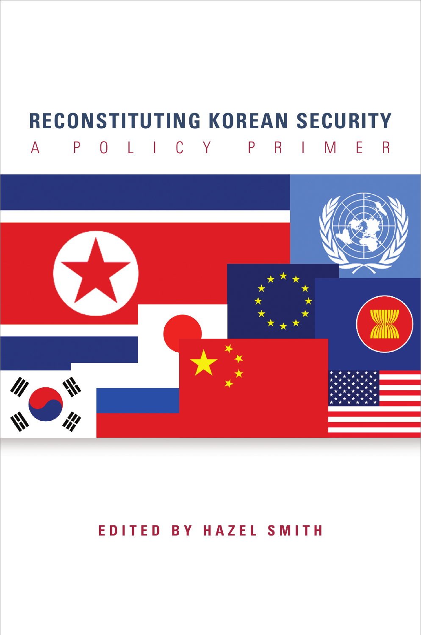# **RECONSTITUTING KOREAN SECURITY** A POLICY PRIMER



**EDITED BY HAZEL SMITH**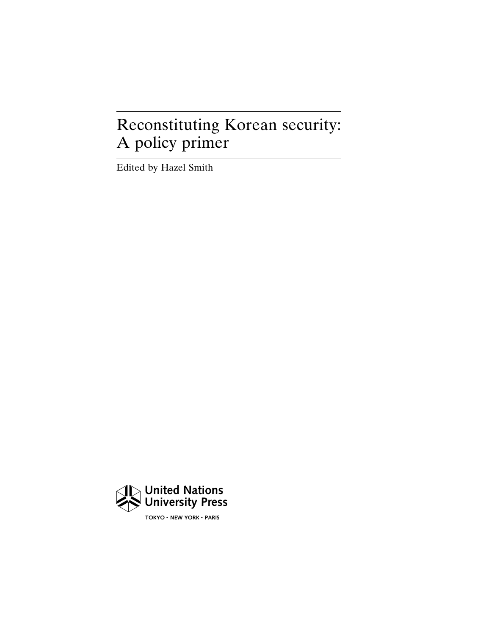# Reconstituting Korean security: A policy primer

Edited by Hazel Smith



 $TOKYO \cdot NEW YORK \cdot PARIS$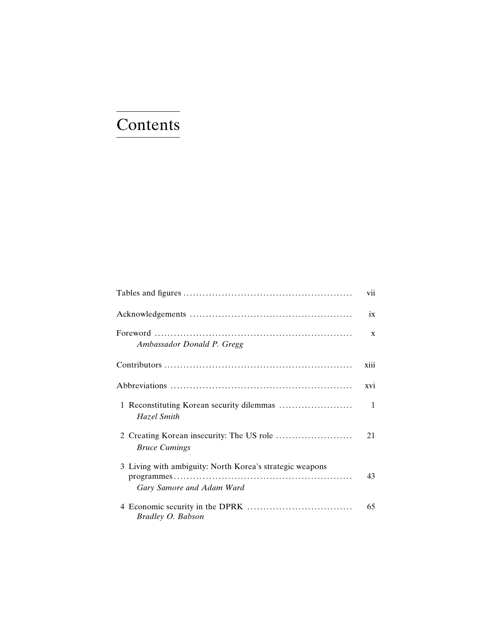# Contents

|                                                                                       | vii         |
|---------------------------------------------------------------------------------------|-------------|
|                                                                                       | ix          |
| Ambassador Donald P. Gregg                                                            | $\mathbf x$ |
|                                                                                       | xiii        |
|                                                                                       | xvi         |
| Hazel Smith                                                                           | 1           |
| <b>Bruce Cumings</b>                                                                  | 21          |
| 3 Living with ambiguity: North Korea's strategic weapons<br>Gary Samore and Adam Ward | 43          |
| Bradley O. Babson                                                                     | 65          |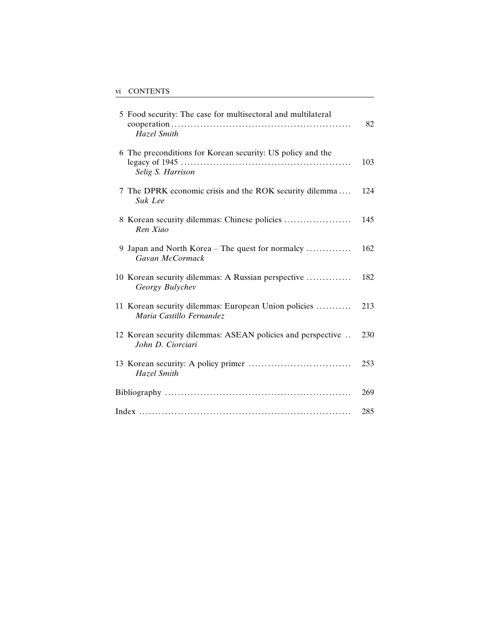| 5 Food security: The case for multisectoral and multilateral<br>Hazel Smith      | 82  |
|----------------------------------------------------------------------------------|-----|
| 6 The preconditions for Korean security: US policy and the<br>Selig S. Harrison  | 103 |
| 7 The DPRK economic crisis and the ROK security dilemma<br><b>Suk Lee</b>        | 124 |
| Ren Xiao                                                                         | 145 |
| 9 Japan and North Korea – The quest for normalcy<br>Gavan McCormack              | 162 |
| 10 Korean security dilemmas: A Russian perspective<br>Georgy Bulychev            | 182 |
| 11 Korean security dilemmas: European Union policies<br>Maria Castillo Fernandez | 213 |
| 12 Korean security dilemmas: ASEAN policies and perspective<br>John D. Ciorciari | 230 |
| Hazel Smith                                                                      | 253 |
|                                                                                  | 269 |
|                                                                                  | 285 |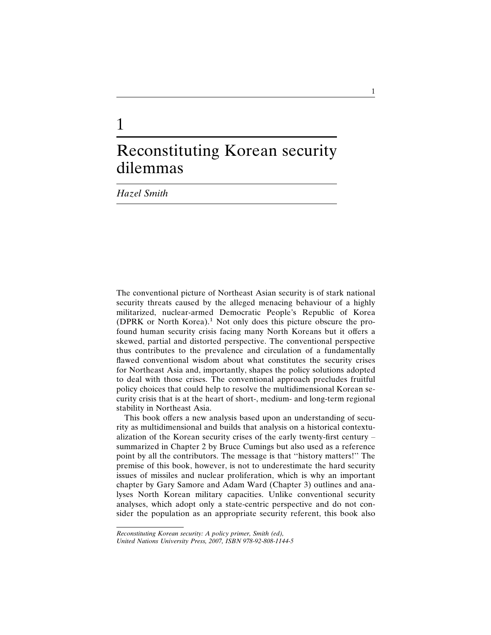# Reconstituting Korean security dilemmas

Hazel Smith

1

The conventional picture of Northeast Asian security is of stark national security threats caused by the alleged menacing behaviour of a highly militarized, nuclear-armed Democratic People's Republic of Korea ( $DPRK$  or North Korea).<sup>1</sup> Not only does this picture obscure the profound human security crisis facing many North Koreans but it offers a skewed, partial and distorted perspective. The conventional perspective thus contributes to the prevalence and circulation of a fundamentally flawed conventional wisdom about what constitutes the security crises for Northeast Asia and, importantly, shapes the policy solutions adopted to deal with those crises. The conventional approach precludes fruitful policy choices that could help to resolve the multidimensional Korean security crisis that is at the heart of short-, medium- and long-term regional stability in Northeast Asia.

This book offers a new analysis based upon an understanding of security as multidimensional and builds that analysis on a historical contextualization of the Korean security crises of the early twenty-first century – summarized in Chapter 2 by Bruce Cumings but also used as a reference point by all the contributors. The message is that ''history matters!'' The premise of this book, however, is not to underestimate the hard security issues of missiles and nuclear proliferation, which is why an important chapter by Gary Samore and Adam Ward (Chapter 3) outlines and analyses North Korean military capacities. Unlike conventional security analyses, which adopt only a state-centric perspective and do not consider the population as an appropriate security referent, this book also

1

Reconstituting Korean security: A policy primer, Smith (ed),

United Nations University Press, 2007, ISBN 978-92-808-1144-5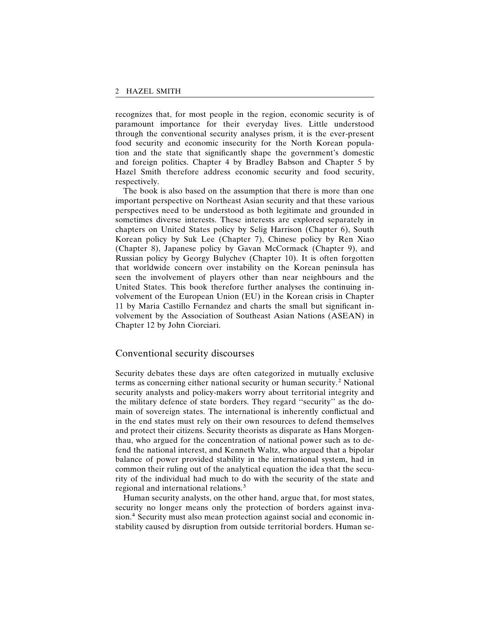recognizes that, for most people in the region, economic security is of paramount importance for their everyday lives. Little understood through the conventional security analyses prism, it is the ever-present food security and economic insecurity for the North Korean population and the state that significantly shape the government's domestic and foreign politics. Chapter 4 by Bradley Babson and Chapter 5 by Hazel Smith therefore address economic security and food security, respectively.

The book is also based on the assumption that there is more than one important perspective on Northeast Asian security and that these various perspectives need to be understood as both legitimate and grounded in sometimes diverse interests. These interests are explored separately in chapters on United States policy by Selig Harrison (Chapter 6), South Korean policy by Suk Lee (Chapter 7), Chinese policy by Ren Xiao (Chapter 8), Japanese policy by Gavan McCormack (Chapter 9), and Russian policy by Georgy Bulychev (Chapter 10). It is often forgotten that worldwide concern over instability on the Korean peninsula has seen the involvement of players other than near neighbours and the United States. This book therefore further analyses the continuing involvement of the European Union (EU) in the Korean crisis in Chapter 11 by Maria Castillo Fernandez and charts the small but significant involvement by the Association of Southeast Asian Nations (ASEAN) in Chapter 12 by John Ciorciari.

#### Conventional security discourses

Security debates these days are often categorized in mutually exclusive terms as concerning either national security or human security.2 National security analysts and policy-makers worry about territorial integrity and the military defence of state borders. They regard ''security'' as the domain of sovereign states. The international is inherently conflictual and in the end states must rely on their own resources to defend themselves and protect their citizens. Security theorists as disparate as Hans Morgenthau, who argued for the concentration of national power such as to defend the national interest, and Kenneth Waltz, who argued that a bipolar balance of power provided stability in the international system, had in common their ruling out of the analytical equation the idea that the security of the individual had much to do with the security of the state and regional and international relations.3

Human security analysts, on the other hand, argue that, for most states, security no longer means only the protection of borders against invasion.4 Security must also mean protection against social and economic instability caused by disruption from outside territorial borders. Human se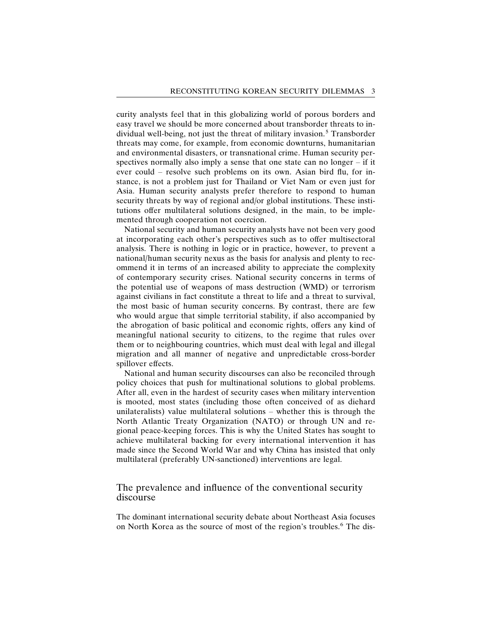curity analysts feel that in this globalizing world of porous borders and easy travel we should be more concerned about transborder threats to individual well-being, not just the threat of military invasion.<sup>5</sup> Transborder threats may come, for example, from economic downturns, humanitarian and environmental disasters, or transnational crime. Human security perspectives normally also imply a sense that one state can no longer – if it ever could – resolve such problems on its own. Asian bird flu, for instance, is not a problem just for Thailand or Viet Nam or even just for Asia. Human security analysts prefer therefore to respond to human security threats by way of regional and/or global institutions. These institutions offer multilateral solutions designed, in the main, to be implemented through cooperation not coercion.

National security and human security analysts have not been very good at incorporating each other's perspectives such as to offer multisectoral analysis. There is nothing in logic or in practice, however, to prevent a national/human security nexus as the basis for analysis and plenty to recommend it in terms of an increased ability to appreciate the complexity of contemporary security crises. National security concerns in terms of the potential use of weapons of mass destruction (WMD) or terrorism against civilians in fact constitute a threat to life and a threat to survival, the most basic of human security concerns. By contrast, there are few who would argue that simple territorial stability, if also accompanied by the abrogation of basic political and economic rights, offers any kind of meaningful national security to citizens, to the regime that rules over them or to neighbouring countries, which must deal with legal and illegal migration and all manner of negative and unpredictable cross-border spillover effects.

National and human security discourses can also be reconciled through policy choices that push for multinational solutions to global problems. After all, even in the hardest of security cases when military intervention is mooted, most states (including those often conceived of as diehard unilateralists) value multilateral solutions – whether this is through the North Atlantic Treaty Organization (NATO) or through UN and regional peace-keeping forces. This is why the United States has sought to achieve multilateral backing for every international intervention it has made since the Second World War and why China has insisted that only multilateral (preferably UN-sanctioned) interventions are legal.

# The prevalence and influence of the conventional security discourse

The dominant international security debate about Northeast Asia focuses on North Korea as the source of most of the region's troubles.<sup>6</sup> The dis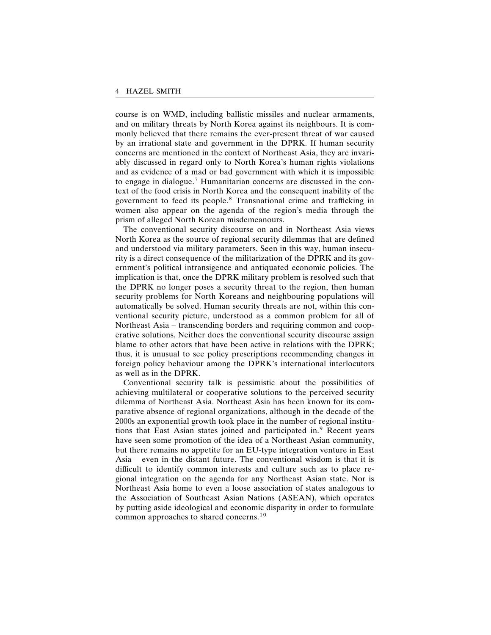course is on WMD, including ballistic missiles and nuclear armaments, and on military threats by North Korea against its neighbours. It is commonly believed that there remains the ever-present threat of war caused by an irrational state and government in the DPRK. If human security concerns are mentioned in the context of Northeast Asia, they are invariably discussed in regard only to North Korea's human rights violations and as evidence of a mad or bad government with which it is impossible to engage in dialogue.7 Humanitarian concerns are discussed in the context of the food crisis in North Korea and the consequent inability of the government to feed its people.8 Transnational crime and trafficking in women also appear on the agenda of the region's media through the prism of alleged North Korean misdemeanours.

The conventional security discourse on and in Northeast Asia views North Korea as the source of regional security dilemmas that are defined and understood via military parameters. Seen in this way, human insecurity is a direct consequence of the militarization of the DPRK and its government's political intransigence and antiquated economic policies. The implication is that, once the DPRK military problem is resolved such that the DPRK no longer poses a security threat to the region, then human security problems for North Koreans and neighbouring populations will automatically be solved. Human security threats are not, within this conventional security picture, understood as a common problem for all of Northeast Asia – transcending borders and requiring common and cooperative solutions. Neither does the conventional security discourse assign blame to other actors that have been active in relations with the DPRK; thus, it is unusual to see policy prescriptions recommending changes in foreign policy behaviour among the DPRK's international interlocutors as well as in the DPRK.

Conventional security talk is pessimistic about the possibilities of achieving multilateral or cooperative solutions to the perceived security dilemma of Northeast Asia. Northeast Asia has been known for its comparative absence of regional organizations, although in the decade of the 2000s an exponential growth took place in the number of regional institutions that East Asian states joined and participated in.<sup>9</sup> Recent years have seen some promotion of the idea of a Northeast Asian community, but there remains no appetite for an EU-type integration venture in East Asia – even in the distant future. The conventional wisdom is that it is difficult to identify common interests and culture such as to place regional integration on the agenda for any Northeast Asian state. Nor is Northeast Asia home to even a loose association of states analogous to the Association of Southeast Asian Nations (ASEAN), which operates by putting aside ideological and economic disparity in order to formulate common approaches to shared concerns.10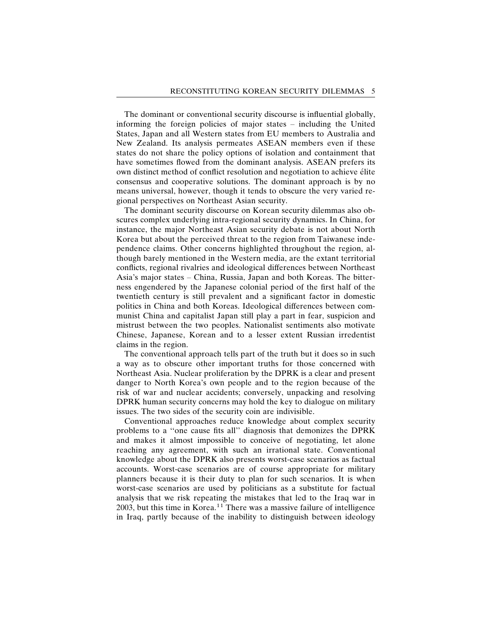The dominant or conventional security discourse is influential globally, informing the foreign policies of major states – including the United States, Japan and all Western states from EU members to Australia and New Zealand. Its analysis permeates ASEAN members even if these states do not share the policy options of isolation and containment that have sometimes flowed from the dominant analysis. ASEAN prefers its own distinct method of conflict resolution and negotiation to achieve élite consensus and cooperative solutions. The dominant approach is by no means universal, however, though it tends to obscure the very varied regional perspectives on Northeast Asian security.

The dominant security discourse on Korean security dilemmas also obscures complex underlying intra-regional security dynamics. In China, for instance, the major Northeast Asian security debate is not about North Korea but about the perceived threat to the region from Taiwanese independence claims. Other concerns highlighted throughout the region, although barely mentioned in the Western media, are the extant territorial conflicts, regional rivalries and ideological differences between Northeast Asia's major states – China, Russia, Japan and both Koreas. The bitterness engendered by the Japanese colonial period of the first half of the twentieth century is still prevalent and a significant factor in domestic politics in China and both Koreas. Ideological differences between communist China and capitalist Japan still play a part in fear, suspicion and mistrust between the two peoples. Nationalist sentiments also motivate Chinese, Japanese, Korean and to a lesser extent Russian irredentist claims in the region.

The conventional approach tells part of the truth but it does so in such a way as to obscure other important truths for those concerned with Northeast Asia. Nuclear proliferation by the DPRK is a clear and present danger to North Korea's own people and to the region because of the risk of war and nuclear accidents; conversely, unpacking and resolving DPRK human security concerns may hold the key to dialogue on military issues. The two sides of the security coin are indivisible.

Conventional approaches reduce knowledge about complex security problems to a ''one cause fits all'' diagnosis that demonizes the DPRK and makes it almost impossible to conceive of negotiating, let alone reaching any agreement, with such an irrational state. Conventional knowledge about the DPRK also presents worst-case scenarios as factual accounts. Worst-case scenarios are of course appropriate for military planners because it is their duty to plan for such scenarios. It is when worst-case scenarios are used by politicians as a substitute for factual analysis that we risk repeating the mistakes that led to the Iraq war in 2003, but this time in Korea.11 There was a massive failure of intelligence in Iraq, partly because of the inability to distinguish between ideology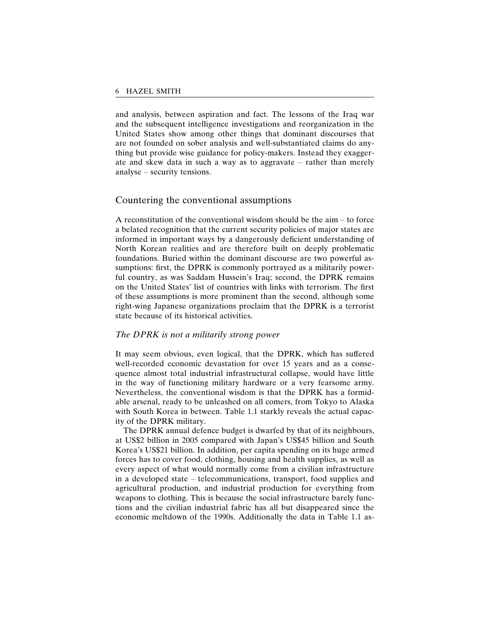and analysis, between aspiration and fact. The lessons of the Iraq war and the subsequent intelligence investigations and reorganization in the United States show among other things that dominant discourses that are not founded on sober analysis and well-substantiated claims do anything but provide wise guidance for policy-makers. Instead they exaggerate and skew data in such a way as to aggravate – rather than merely analyse – security tensions.

# Countering the conventional assumptions

A reconstitution of the conventional wisdom should be the aim – to force a belated recognition that the current security policies of major states are informed in important ways by a dangerously deficient understanding of North Korean realities and are therefore built on deeply problematic foundations. Buried within the dominant discourse are two powerful assumptions: first, the DPRK is commonly portrayed as a militarily powerful country, as was Saddam Hussein's Iraq; second, the DPRK remains on the United States' list of countries with links with terrorism. The first of these assumptions is more prominent than the second, although some right-wing Japanese organizations proclaim that the DPRK is a terrorist state because of its historical activities.

### The DPRK is not a militarily strong power

It may seem obvious, even logical, that the DPRK, which has suffered well-recorded economic devastation for over 15 years and as a consequence almost total industrial infrastructural collapse, would have little in the way of functioning military hardware or a very fearsome army. Nevertheless, the conventional wisdom is that the DPRK has a formidable arsenal, ready to be unleashed on all comers, from Tokyo to Alaska with South Korea in between. Table 1.1 starkly reveals the actual capacity of the DPRK military.

The DPRK annual defence budget is dwarfed by that of its neighbours, at US\$2 billion in 2005 compared with Japan's US\$45 billion and South Korea's US\$21 billion. In addition, per capita spending on its huge armed forces has to cover food, clothing, housing and health supplies, as well as every aspect of what would normally come from a civilian infrastructure in a developed state – telecommunications, transport, food supplies and agricultural production, and industrial production for everything from weapons to clothing. This is because the social infrastructure barely functions and the civilian industrial fabric has all but disappeared since the economic meltdown of the 1990s. Additionally the data in Table 1.1 as-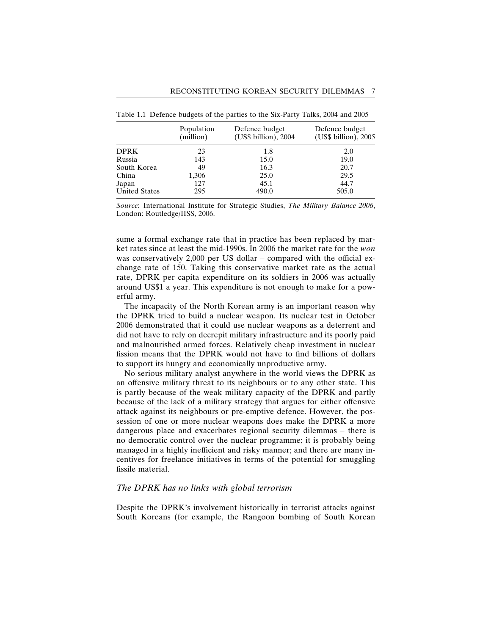|                      | Population<br>(million) | Defence budget<br>$(US\$ billion), 2004 | Defence budget<br>$(US\$ billion), 2005 |
|----------------------|-------------------------|-----------------------------------------|-----------------------------------------|
| <b>DPRK</b>          | 23                      | 1.8                                     | 2.0                                     |
| Russia               | 143                     | 15.0                                    | 19.0                                    |
| South Korea          | 49                      | 16.3                                    | 20.7                                    |
| China                | 1,306                   | 25.0                                    | 29.5                                    |
| Japan                | 127                     | 45.1                                    | 44.7                                    |
| <b>United States</b> | 295                     | 490.0                                   | 505.0                                   |

Table 1.1 Defence budgets of the parties to the Six-Party Talks, 2004 and 2005

Source: International Institute for Strategic Studies, The Military Balance 2006, London: Routledge/IISS, 2006.

sume a formal exchange rate that in practice has been replaced by market rates since at least the mid-1990s. In 2006 the market rate for the won was conservatively 2,000 per US dollar – compared with the official exchange rate of 150. Taking this conservative market rate as the actual rate, DPRK per capita expenditure on its soldiers in 2006 was actually around US\$1 a year. This expenditure is not enough to make for a powerful army.

The incapacity of the North Korean army is an important reason why the DPRK tried to build a nuclear weapon. Its nuclear test in October 2006 demonstrated that it could use nuclear weapons as a deterrent and did not have to rely on decrepit military infrastructure and its poorly paid and malnourished armed forces. Relatively cheap investment in nuclear fission means that the DPRK would not have to find billions of dollars to support its hungry and economically unproductive army.

No serious military analyst anywhere in the world views the DPRK as an offensive military threat to its neighbours or to any other state. This is partly because of the weak military capacity of the DPRK and partly because of the lack of a military strategy that argues for either offensive attack against its neighbours or pre-emptive defence. However, the possession of one or more nuclear weapons does make the DPRK a more dangerous place and exacerbates regional security dilemmas – there is no democratic control over the nuclear programme; it is probably being managed in a highly inefficient and risky manner; and there are many incentives for freelance initiatives in terms of the potential for smuggling fissile material.

#### The DPRK has no links with global terrorism

Despite the DPRK's involvement historically in terrorist attacks against South Koreans (for example, the Rangoon bombing of South Korean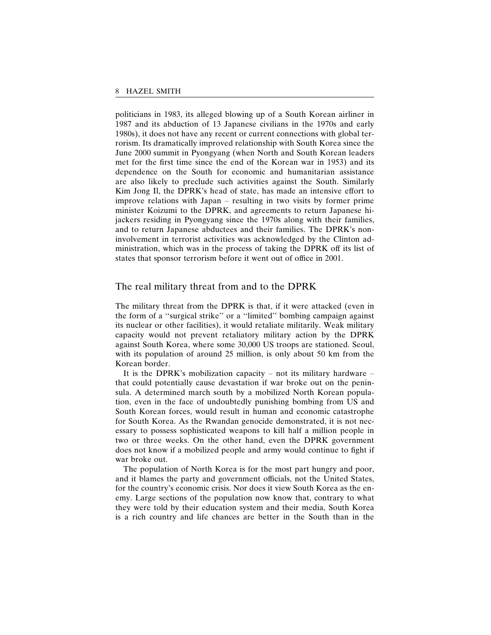politicians in 1983, its alleged blowing up of a South Korean airliner in 1987 and its abduction of 13 Japanese civilians in the 1970s and early 1980s), it does not have any recent or current connections with global terrorism. Its dramatically improved relationship with South Korea since the June 2000 summit in Pyongyang (when North and South Korean leaders met for the first time since the end of the Korean war in 1953) and its dependence on the South for economic and humanitarian assistance are also likely to preclude such activities against the South. Similarly Kim Jong Il, the DPRK's head of state, has made an intensive effort to improve relations with Japan – resulting in two visits by former prime minister Koizumi to the DPRK, and agreements to return Japanese hijackers residing in Pyongyang since the 1970s along with their families, and to return Japanese abductees and their families. The DPRK's noninvolvement in terrorist activities was acknowledged by the Clinton administration, which was in the process of taking the DPRK off its list of states that sponsor terrorism before it went out of office in 2001.

# The real military threat from and to the DPRK

The military threat from the DPRK is that, if it were attacked (even in the form of a ''surgical strike'' or a ''limited'' bombing campaign against its nuclear or other facilities), it would retaliate militarily. Weak military capacity would not prevent retaliatory military action by the DPRK against South Korea, where some 30,000 US troops are stationed. Seoul, with its population of around 25 million, is only about 50 km from the Korean border.

It is the DPRK's mobilization capacity – not its military hardware – that could potentially cause devastation if war broke out on the peninsula. A determined march south by a mobilized North Korean population, even in the face of undoubtedly punishing bombing from US and South Korean forces, would result in human and economic catastrophe for South Korea. As the Rwandan genocide demonstrated, it is not necessary to possess sophisticated weapons to kill half a million people in two or three weeks. On the other hand, even the DPRK government does not know if a mobilized people and army would continue to fight if war broke out.

The population of North Korea is for the most part hungry and poor, and it blames the party and government officials, not the United States, for the country's economic crisis. Nor does it view South Korea as the enemy. Large sections of the population now know that, contrary to what they were told by their education system and their media, South Korea is a rich country and life chances are better in the South than in the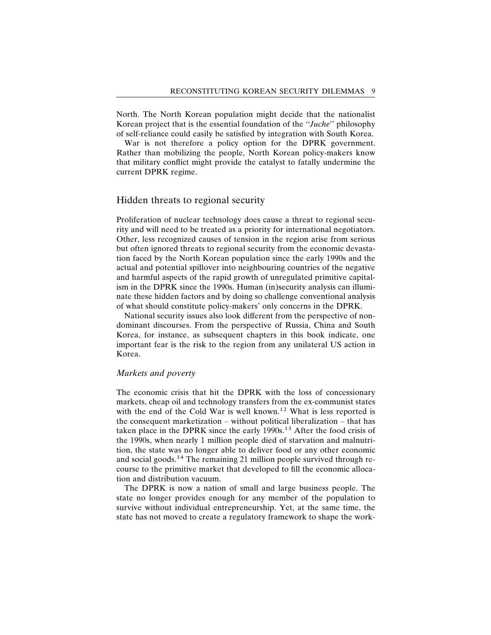North. The North Korean population might decide that the nationalist Korean project that is the essential foundation of the ''Juche'' philosophy of self-reliance could easily be satisfied by integration with South Korea.

War is not therefore a policy option for the DPRK government. Rather than mobilizing the people, North Korean policy-makers know that military conflict might provide the catalyst to fatally undermine the current DPRK regime.

# Hidden threats to regional security

Proliferation of nuclear technology does cause a threat to regional security and will need to be treated as a priority for international negotiators. Other, less recognized causes of tension in the region arise from serious but often ignored threats to regional security from the economic devastation faced by the North Korean population since the early 1990s and the actual and potential spillover into neighbouring countries of the negative and harmful aspects of the rapid growth of unregulated primitive capitalism in the DPRK since the 1990s. Human (in)security analysis can illuminate these hidden factors and by doing so challenge conventional analysis of what should constitute policy-makers' only concerns in the DPRK.

National security issues also look different from the perspective of nondominant discourses. From the perspective of Russia, China and South Korea, for instance, as subsequent chapters in this book indicate, one important fear is the risk to the region from any unilateral US action in Korea.

### Markets and poverty

The economic crisis that hit the DPRK with the loss of concessionary markets, cheap oil and technology transfers from the ex-communist states with the end of the Cold War is well known.<sup>12</sup> What is less reported is the consequent marketization – without political liberalization – that has taken place in the DPRK since the early 1990s.<sup>13</sup> After the food crisis of the 1990s, when nearly 1 million people died of starvation and malnutrition, the state was no longer able to deliver food or any other economic and social goods.14 The remaining 21 million people survived through recourse to the primitive market that developed to fill the economic allocation and distribution vacuum.

The DPRK is now a nation of small and large business people. The state no longer provides enough for any member of the population to survive without individual entrepreneurship. Yet, at the same time, the state has not moved to create a regulatory framework to shape the work-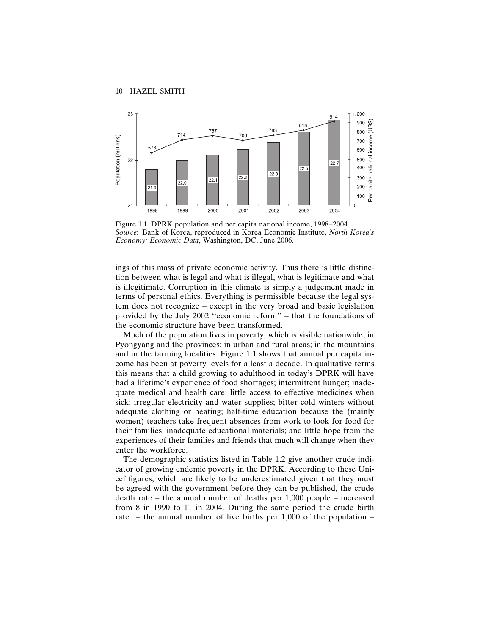

Figure 1.1 DPRK population and per capita national income, 1998–2004. Source: Bank of Korea, reproduced in Korea Economic Institute, North Korea's Economy: Economic Data, Washington, DC, June 2006.

ings of this mass of private economic activity. Thus there is little distinction between what is legal and what is illegal, what is legitimate and what is illegitimate. Corruption in this climate is simply a judgement made in terms of personal ethics. Everything is permissible because the legal system does not recognize – except in the very broad and basic legislation provided by the July 2002 ''economic reform'' – that the foundations of the economic structure have been transformed.

Much of the population lives in poverty, which is visible nationwide, in Pyongyang and the provinces; in urban and rural areas; in the mountains and in the farming localities. Figure 1.1 shows that annual per capita income has been at poverty levels for a least a decade. In qualitative terms this means that a child growing to adulthood in today's DPRK will have had a lifetime's experience of food shortages; intermittent hunger; inadequate medical and health care; little access to effective medicines when sick; irregular electricity and water supplies; bitter cold winters without adequate clothing or heating; half-time education because the (mainly women) teachers take frequent absences from work to look for food for their families; inadequate educational materials; and little hope from the experiences of their families and friends that much will change when they enter the workforce.

The demographic statistics listed in Table 1.2 give another crude indicator of growing endemic poverty in the DPRK. According to these Unicef figures, which are likely to be underestimated given that they must be agreed with the government before they can be published, the crude death rate – the annual number of deaths per 1,000 people – increased from 8 in 1990 to 11 in 2004. During the same period the crude birth rate – the annual number of live births per 1,000 of the population –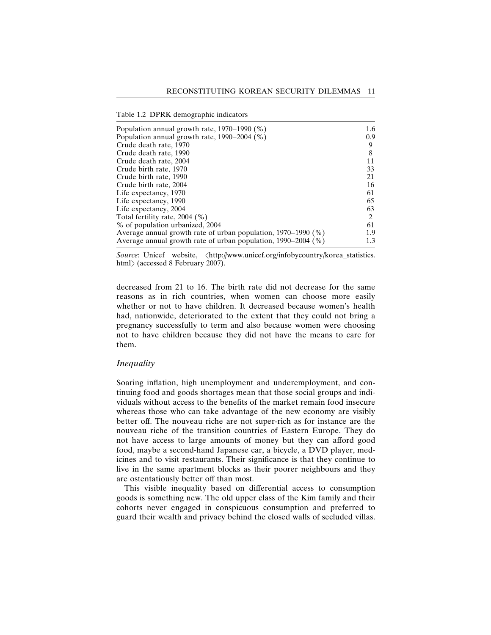Table 1.2 DPRK demographic indicators

| Population annual growth rate, $1970-1990$ (%)                  | 1.6 |
|-----------------------------------------------------------------|-----|
| Population annual growth rate, $1990-2004$ (%)                  | 0.9 |
| Crude death rate, 1970                                          | 9   |
| Crude death rate, 1990                                          | 8   |
| Crude death rate, 2004                                          | 11  |
| Crude birth rate, 1970                                          | 33  |
| Crude birth rate, 1990                                          | 21  |
| Crude birth rate, 2004                                          | 16  |
| Life expectancy, 1970                                           | 61  |
| Life expectancy, 1990                                           | 65  |
| Life expectancy, 2004                                           | 63  |
| Total fertility rate, 2004 (%)                                  | 2   |
| % of population urbanized, 2004                                 | 61  |
| Average annual growth rate of urban population, $1970-1990$ (%) | 1.9 |
| Average annual growth rate of urban population, $1990-2004$ (%) | 1.3 |
|                                                                 |     |

Source: Unicef website,  $\langle$ http://www.unicef.org/infobycountry/korea\_statistics. html $\rangle$  (accessed 8 February 2007).

decreased from 21 to 16. The birth rate did not decrease for the same reasons as in rich countries, when women can choose more easily whether or not to have children. It decreased because women's health had, nationwide, deteriorated to the extent that they could not bring a pregnancy successfully to term and also because women were choosing not to have children because they did not have the means to care for them.

#### **Inequality**

Soaring inflation, high unemployment and underemployment, and continuing food and goods shortages mean that those social groups and individuals without access to the benefits of the market remain food insecure whereas those who can take advantage of the new economy are visibly better off. The nouveau riche are not super-rich as for instance are the nouveau riche of the transition countries of Eastern Europe. They do not have access to large amounts of money but they can afford good food, maybe a second-hand Japanese car, a bicycle, a DVD player, medicines and to visit restaurants. Their significance is that they continue to live in the same apartment blocks as their poorer neighbours and they are ostentatiously better off than most.

This visible inequality based on differential access to consumption goods is something new. The old upper class of the Kim family and their cohorts never engaged in conspicuous consumption and preferred to guard their wealth and privacy behind the closed walls of secluded villas.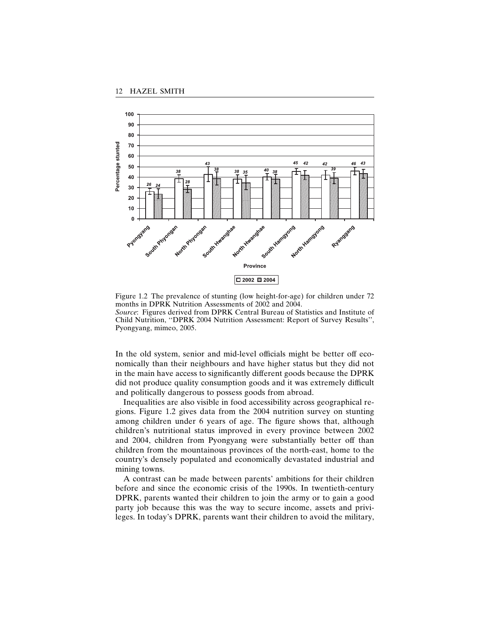

Figure 1.2 The prevalence of stunting (low height-for-age) for children under 72 months in DPRK Nutrition Assessments of 2002 and 2004. Source: Figures derived from DPRK Central Bureau of Statistics and Institute of Child Nutrition, ''DPRK 2004 Nutrition Assessment: Report of Survey Results'', Pyongyang, mimeo, 2005.

In the old system, senior and mid-level officials might be better off economically than their neighbours and have higher status but they did not in the main have access to significantly different goods because the DPRK did not produce quality consumption goods and it was extremely difficult and politically dangerous to possess goods from abroad.

Inequalities are also visible in food accessibility across geographical regions. Figure 1.2 gives data from the 2004 nutrition survey on stunting among children under 6 years of age. The figure shows that, although children's nutritional status improved in every province between 2002 and 2004, children from Pyongyang were substantially better off than children from the mountainous provinces of the north-east, home to the country's densely populated and economically devastated industrial and mining towns.

A contrast can be made between parents' ambitions for their children before and since the economic crisis of the 1990s. In twentieth-century DPRK, parents wanted their children to join the army or to gain a good party job because this was the way to secure income, assets and privileges. In today's DPRK, parents want their children to avoid the military,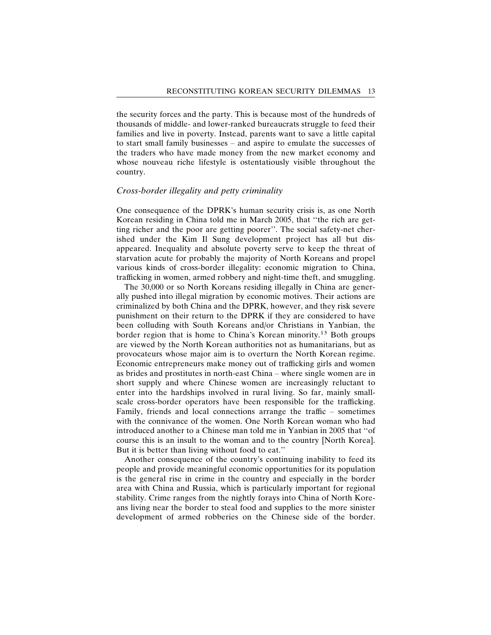the security forces and the party. This is because most of the hundreds of thousands of middle- and lower-ranked bureaucrats struggle to feed their families and live in poverty. Instead, parents want to save a little capital to start small family businesses – and aspire to emulate the successes of the traders who have made money from the new market economy and whose nouveau riche lifestyle is ostentatiously visible throughout the country.

#### Cross-border illegality and petty criminality

One consequence of the DPRK's human security crisis is, as one North Korean residing in China told me in March 2005, that ''the rich are getting richer and the poor are getting poorer''. The social safety-net cherished under the Kim Il Sung development project has all but disappeared. Inequality and absolute poverty serve to keep the threat of starvation acute for probably the majority of North Koreans and propel various kinds of cross-border illegality: economic migration to China, trafficking in women, armed robbery and night-time theft, and smuggling.

The 30,000 or so North Koreans residing illegally in China are generally pushed into illegal migration by economic motives. Their actions are criminalized by both China and the DPRK, however, and they risk severe punishment on their return to the DPRK if they are considered to have been colluding with South Koreans and/or Christians in Yanbian, the border region that is home to China's Korean minority.15 Both groups are viewed by the North Korean authorities not as humanitarians, but as provocateurs whose major aim is to overturn the North Korean regime. Economic entrepreneurs make money out of trafficking girls and women as brides and prostitutes in north-east China – where single women are in short supply and where Chinese women are increasingly reluctant to enter into the hardships involved in rural living. So far, mainly smallscale cross-border operators have been responsible for the trafficking. Family, friends and local connections arrange the traffic – sometimes with the connivance of the women. One North Korean woman who had introduced another to a Chinese man told me in Yanbian in 2005 that ''of course this is an insult to the woman and to the country [North Korea]. But it is better than living without food to eat.''

Another consequence of the country's continuing inability to feed its people and provide meaningful economic opportunities for its population is the general rise in crime in the country and especially in the border area with China and Russia, which is particularly important for regional stability. Crime ranges from the nightly forays into China of North Koreans living near the border to steal food and supplies to the more sinister development of armed robberies on the Chinese side of the border.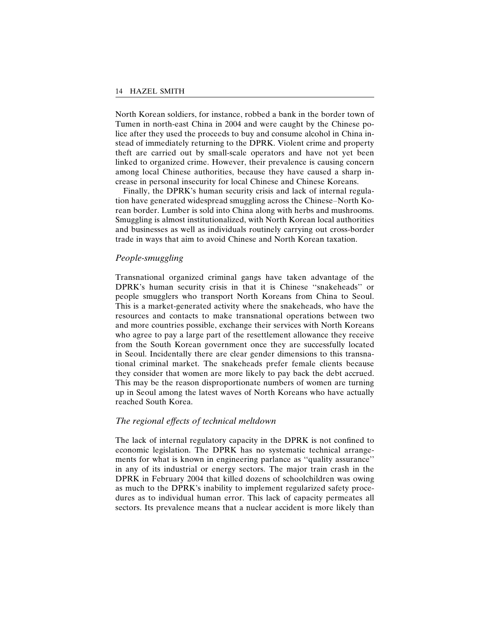North Korean soldiers, for instance, robbed a bank in the border town of Tumen in north-east China in 2004 and were caught by the Chinese police after they used the proceeds to buy and consume alcohol in China instead of immediately returning to the DPRK. Violent crime and property theft are carried out by small-scale operators and have not yet been linked to organized crime. However, their prevalence is causing concern among local Chinese authorities, because they have caused a sharp increase in personal insecurity for local Chinese and Chinese Koreans.

Finally, the DPRK's human security crisis and lack of internal regulation have generated widespread smuggling across the Chinese–North Korean border. Lumber is sold into China along with herbs and mushrooms. Smuggling is almost institutionalized, with North Korean local authorities and businesses as well as individuals routinely carrying out cross-border trade in ways that aim to avoid Chinese and North Korean taxation.

#### People-smuggling

Transnational organized criminal gangs have taken advantage of the DPRK's human security crisis in that it is Chinese ''snakeheads'' or people smugglers who transport North Koreans from China to Seoul. This is a market-generated activity where the snakeheads, who have the resources and contacts to make transnational operations between two and more countries possible, exchange their services with North Koreans who agree to pay a large part of the resettlement allowance they receive from the South Korean government once they are successfully located in Seoul. Incidentally there are clear gender dimensions to this transnational criminal market. The snakeheads prefer female clients because they consider that women are more likely to pay back the debt accrued. This may be the reason disproportionate numbers of women are turning up in Seoul among the latest waves of North Koreans who have actually reached South Korea.

#### The regional effects of technical meltdown

The lack of internal regulatory capacity in the DPRK is not confined to economic legislation. The DPRK has no systematic technical arrangements for what is known in engineering parlance as ''quality assurance'' in any of its industrial or energy sectors. The major train crash in the DPRK in February 2004 that killed dozens of schoolchildren was owing as much to the DPRK's inability to implement regularized safety procedures as to individual human error. This lack of capacity permeates all sectors. Its prevalence means that a nuclear accident is more likely than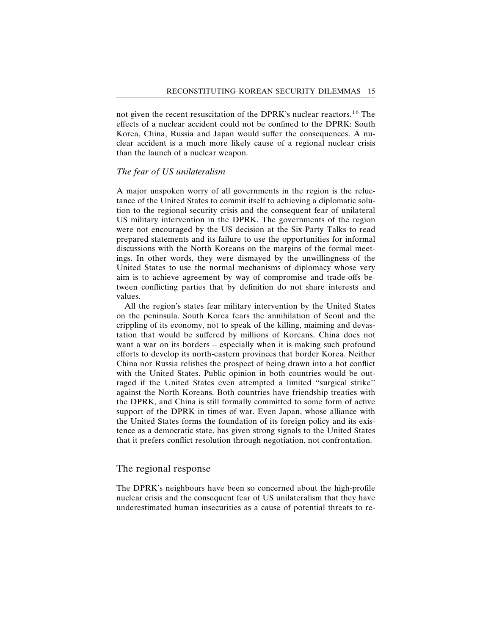not given the recent resuscitation of the DPRK's nuclear reactors.16 The effects of a nuclear accident could not be confined to the DPRK: South Korea, China, Russia and Japan would suffer the consequences. A nuclear accident is a much more likely cause of a regional nuclear crisis than the launch of a nuclear weapon.

### The fear of US unilateralism

A major unspoken worry of all governments in the region is the reluctance of the United States to commit itself to achieving a diplomatic solution to the regional security crisis and the consequent fear of unilateral US military intervention in the DPRK. The governments of the region were not encouraged by the US decision at the Six-Party Talks to read prepared statements and its failure to use the opportunities for informal discussions with the North Koreans on the margins of the formal meetings. In other words, they were dismayed by the unwillingness of the United States to use the normal mechanisms of diplomacy whose very aim is to achieve agreement by way of compromise and trade-offs between conflicting parties that by definition do not share interests and values.

All the region's states fear military intervention by the United States on the peninsula. South Korea fears the annihilation of Seoul and the crippling of its economy, not to speak of the killing, maiming and devastation that would be suffered by millions of Koreans. China does not want a war on its borders – especially when it is making such profound efforts to develop its north-eastern provinces that border Korea. Neither China nor Russia relishes the prospect of being drawn into a hot conflict with the United States. Public opinion in both countries would be outraged if the United States even attempted a limited ''surgical strike'' against the North Koreans. Both countries have friendship treaties with the DPRK, and China is still formally committed to some form of active support of the DPRK in times of war. Even Japan, whose alliance with the United States forms the foundation of its foreign policy and its existence as a democratic state, has given strong signals to the United States that it prefers conflict resolution through negotiation, not confrontation.

#### The regional response

The DPRK's neighbours have been so concerned about the high-profile nuclear crisis and the consequent fear of US unilateralism that they have underestimated human insecurities as a cause of potential threats to re-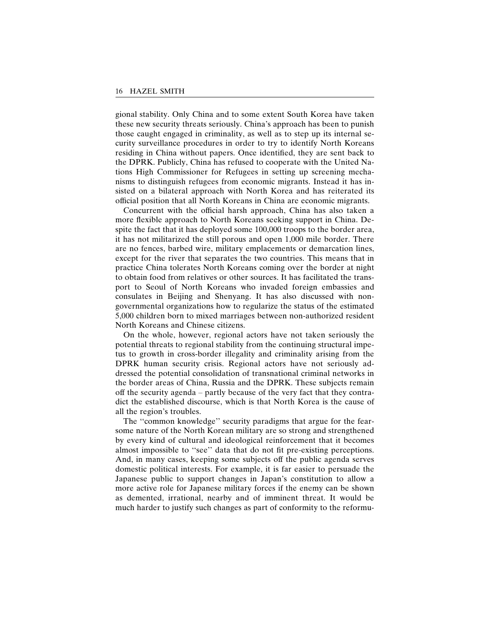gional stability. Only China and to some extent South Korea have taken these new security threats seriously. China's approach has been to punish those caught engaged in criminality, as well as to step up its internal security surveillance procedures in order to try to identify North Koreans residing in China without papers. Once identified, they are sent back to the DPRK. Publicly, China has refused to cooperate with the United Nations High Commissioner for Refugees in setting up screening mechanisms to distinguish refugees from economic migrants. Instead it has insisted on a bilateral approach with North Korea and has reiterated its official position that all North Koreans in China are economic migrants.

Concurrent with the official harsh approach, China has also taken a more flexible approach to North Koreans seeking support in China. Despite the fact that it has deployed some 100,000 troops to the border area, it has not militarized the still porous and open 1,000 mile border. There are no fences, barbed wire, military emplacements or demarcation lines, except for the river that separates the two countries. This means that in practice China tolerates North Koreans coming over the border at night to obtain food from relatives or other sources. It has facilitated the transport to Seoul of North Koreans who invaded foreign embassies and consulates in Beijing and Shenyang. It has also discussed with nongovernmental organizations how to regularize the status of the estimated 5,000 children born to mixed marriages between non-authorized resident North Koreans and Chinese citizens.

On the whole, however, regional actors have not taken seriously the potential threats to regional stability from the continuing structural impetus to growth in cross-border illegality and criminality arising from the DPRK human security crisis. Regional actors have not seriously addressed the potential consolidation of transnational criminal networks in the border areas of China, Russia and the DPRK. These subjects remain off the security agenda – partly because of the very fact that they contradict the established discourse, which is that North Korea is the cause of all the region's troubles.

The ''common knowledge'' security paradigms that argue for the fearsome nature of the North Korean military are so strong and strengthened by every kind of cultural and ideological reinforcement that it becomes almost impossible to ''see'' data that do not fit pre-existing perceptions. And, in many cases, keeping some subjects off the public agenda serves domestic political interests. For example, it is far easier to persuade the Japanese public to support changes in Japan's constitution to allow a more active role for Japanese military forces if the enemy can be shown as demented, irrational, nearby and of imminent threat. It would be much harder to justify such changes as part of conformity to the reformu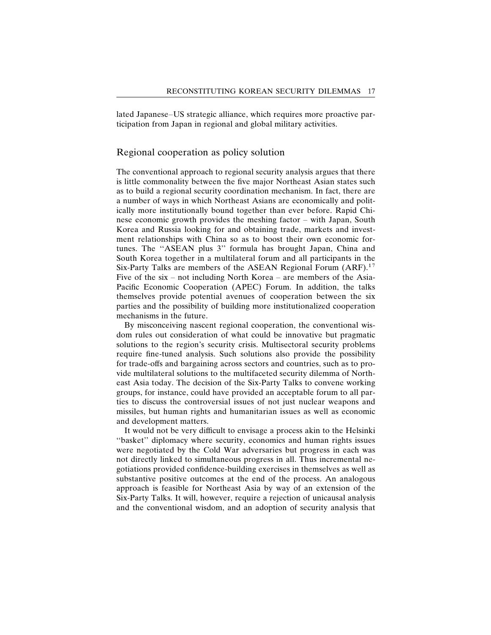lated Japanese–US strategic alliance, which requires more proactive participation from Japan in regional and global military activities.

### Regional cooperation as policy solution

The conventional approach to regional security analysis argues that there is little commonality between the five major Northeast Asian states such as to build a regional security coordination mechanism. In fact, there are a number of ways in which Northeast Asians are economically and politically more institutionally bound together than ever before. Rapid Chinese economic growth provides the meshing factor – with Japan, South Korea and Russia looking for and obtaining trade, markets and investment relationships with China so as to boost their own economic fortunes. The ''ASEAN plus 3'' formula has brought Japan, China and South Korea together in a multilateral forum and all participants in the Six-Party Talks are members of the ASEAN Regional Forum (ARF).<sup>17</sup> Five of the six – not including North Korea – are members of the Asia-Pacific Economic Cooperation (APEC) Forum. In addition, the talks themselves provide potential avenues of cooperation between the six parties and the possibility of building more institutionalized cooperation mechanisms in the future.

By misconceiving nascent regional cooperation, the conventional wisdom rules out consideration of what could be innovative but pragmatic solutions to the region's security crisis. Multisectoral security problems require fine-tuned analysis. Such solutions also provide the possibility for trade-offs and bargaining across sectors and countries, such as to provide multilateral solutions to the multifaceted security dilemma of Northeast Asia today. The decision of the Six-Party Talks to convene working groups, for instance, could have provided an acceptable forum to all parties to discuss the controversial issues of not just nuclear weapons and missiles, but human rights and humanitarian issues as well as economic and development matters.

It would not be very difficult to envisage a process akin to the Helsinki ''basket'' diplomacy where security, economics and human rights issues were negotiated by the Cold War adversaries but progress in each was not directly linked to simultaneous progress in all. Thus incremental negotiations provided confidence-building exercises in themselves as well as substantive positive outcomes at the end of the process. An analogous approach is feasible for Northeast Asia by way of an extension of the Six-Party Talks. It will, however, require a rejection of unicausal analysis and the conventional wisdom, and an adoption of security analysis that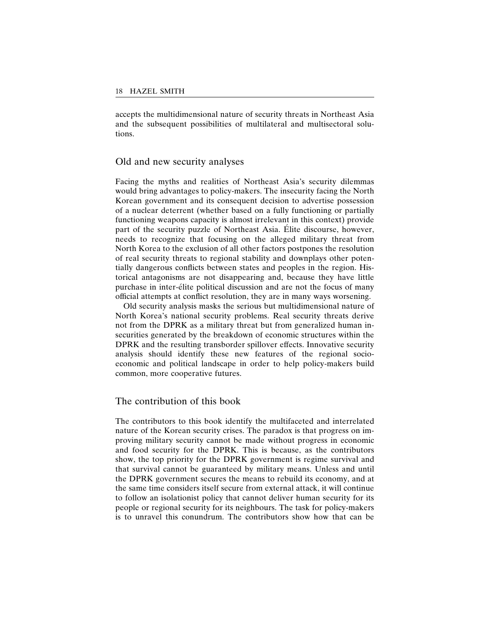accepts the multidimensional nature of security threats in Northeast Asia and the subsequent possibilities of multilateral and multisectoral solutions.

#### Old and new security analyses

Facing the myths and realities of Northeast Asia's security dilemmas would bring advantages to policy-makers. The insecurity facing the North Korean government and its consequent decision to advertise possession of a nuclear deterrent (whether based on a fully functioning or partially functioning weapons capacity is almost irrelevant in this context) provide part of the security puzzle of Northeast Asia. Élite discourse, however, needs to recognize that focusing on the alleged military threat from North Korea to the exclusion of all other factors postpones the resolution of real security threats to regional stability and downplays other potentially dangerous conflicts between states and peoples in the region. Historical antagonisms are not disappearing and, because they have little purchase in inter-élite political discussion and are not the focus of many official attempts at conflict resolution, they are in many ways worsening.

Old security analysis masks the serious but multidimensional nature of North Korea's national security problems. Real security threats derive not from the DPRK as a military threat but from generalized human insecurities generated by the breakdown of economic structures within the DPRK and the resulting transborder spillover effects. Innovative security analysis should identify these new features of the regional socioeconomic and political landscape in order to help policy-makers build common, more cooperative futures.

### The contribution of this book

The contributors to this book identify the multifaceted and interrelated nature of the Korean security crises. The paradox is that progress on improving military security cannot be made without progress in economic and food security for the DPRK. This is because, as the contributors show, the top priority for the DPRK government is regime survival and that survival cannot be guaranteed by military means. Unless and until the DPRK government secures the means to rebuild its economy, and at the same time considers itself secure from external attack, it will continue to follow an isolationist policy that cannot deliver human security for its people or regional security for its neighbours. The task for policy-makers is to unravel this conundrum. The contributors show how that can be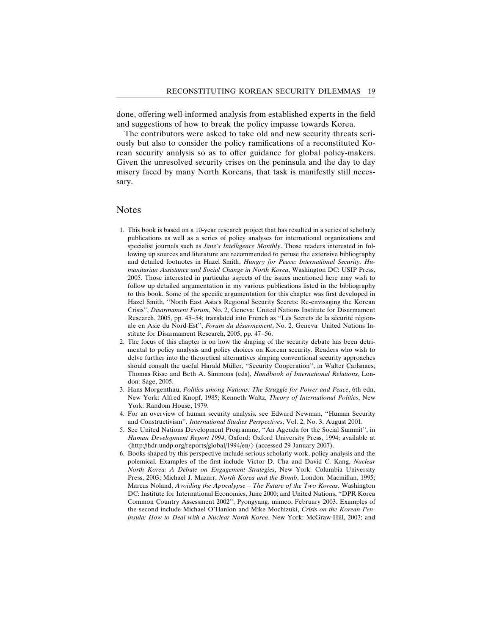done, offering well-informed analysis from established experts in the field and suggestions of how to break the policy impasse towards Korea.

The contributors were asked to take old and new security threats seriously but also to consider the policy ramifications of a reconstituted Korean security analysis so as to offer guidance for global policy-makers. Given the unresolved security crises on the peninsula and the day to day misery faced by many North Koreans, that task is manifestly still necessary.

#### Notes

- 1. This book is based on a 10-year research project that has resulted in a series of scholarly publications as well as a series of policy analyses for international organizations and specialist journals such as Jane's Intelligence Monthly. Those readers interested in following up sources and literature are recommended to peruse the extensive bibliography and detailed footnotes in Hazel Smith, Hungry for Peace: International Security. Humanitarian Assistance and Social Change in North Korea, Washington DC: USIP Press, 2005. Those interested in particular aspects of the issues mentioned here may wish to follow up detailed argumentation in my various publications listed in the bibliography to this book. Some of the specific argumentation for this chapter was first developed in Hazel Smith, ''North East Asia's Regional Security Secrets: Re-envisaging the Korean Crisis'', Disarmament Forum, No. 2, Geneva: United Nations Institute for Disarmament Research, 2005, pp. 45–54; translated into French as "Les Secrets de la sécurité régionale en Asie du Nord-Est", Forum du désarmement, No. 2, Geneva: United Nations Institute for Disarmament Research, 2005, pp. 47–56.
- 2. The focus of this chapter is on how the shaping of the security debate has been detrimental to policy analysis and policy choices on Korean security. Readers who wish to delve further into the theoretical alternatives shaping conventional security approaches should consult the useful Harald Müller, "Security Cooperation", in Walter Carlsnaes, Thomas Risse and Beth A. Simmons (eds), Handbook of International Relations, London: Sage, 2005.
- 3. Hans Morgenthau, Politics among Nations: The Struggle for Power and Peace, 6th edn, New York: Alfred Knopf, 1985; Kenneth Waltz, Theory of International Politics, New York: Random House, 1979.
- 4. For an overview of human security analysis, see Edward Newman, ''Human Security and Constructivism'', International Studies Perspectives, Vol. 2, No. 3, August 2001.
- 5. See United Nations Development Programme, ''An Agenda for the Social Summit'', in Human Development Report 1994, Oxford: Oxford University Press, 1994; available at  $\langle$ http://hdr.undp.org/reports/global/1994/en/ $\rangle$  (accessed 29 January 2007).
- 6. Books shaped by this perspective include serious scholarly work, policy analysis and the polemical. Examples of the first include Victor D. Cha and David C. Kang, Nuclear North Korea: A Debate on Engagement Strategies, New York: Columbia University Press, 2003; Michael J. Mazarr, North Korea and the Bomb, London: Macmillan, 1995; Marcus Noland, Avoiding the Apocalypse - The Future of the Two Koreas, Washington DC: Institute for International Economics, June 2000; and United Nations, ''DPR Korea Common Country Assessment 2002'', Pyongyang, mimeo, February 2003. Examples of the second include Michael O'Hanlon and Mike Mochizuki, Crisis on the Korean Peninsula: How to Deal with a Nuclear North Korea, New York: McGraw-Hill, 2003; and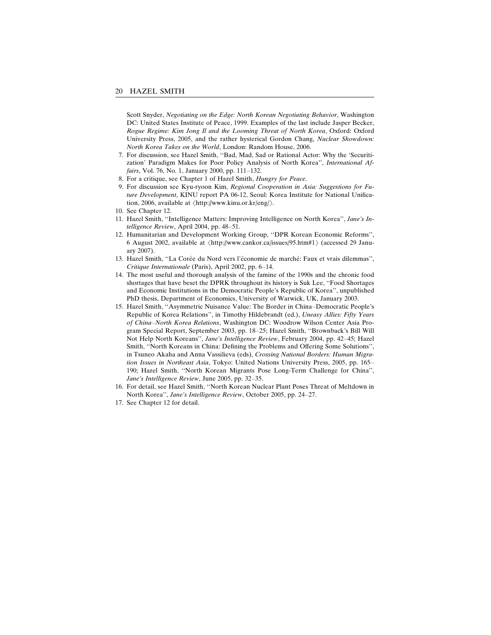Scott Snyder, Negotiating on the Edge: North Korean Negotiating Behavior, Washington DC: United States Institute of Peace, 1999. Examples of the last include Jasper Becker, Rogue Regime: Kim Jong Il and the Looming Threat of North Korea, Oxford: Oxford University Press, 2005, and the rather hysterical Gordon Chang, Nuclear Showdown: North Korea Takes on the World, London: Random House, 2006.

- 7. For discussion, see Hazel Smith, ''Bad, Mad, Sad or Rational Actor: Why the 'Securitization' Paradigm Makes for Poor Policy Analysis of North Korea'', International Affairs, Vol. 76, No. 1, January 2000, pp. 111–132.
- 8. For a critique, see Chapter 1 of Hazel Smith, Hungry for Peace.
- 9. For discussion see Kyu-ryoon Kim, Regional Cooperation in Asia: Suggestions for Future Development, KINU report PA 06-12, Seoul: Korea Institute for National Unification, 2006, available at  $\langle$ http://www.kinu.or.kr/eng/ $\rangle$ .
- 10. See Chapter 12.
- 11. Hazel Smith, ''Intelligence Matters: Improving Intelligence on North Korea'', Jane's Intelligence Review, April 2004, pp. 48–51.
- 12. Humanitarian and Development Working Group, ''DPR Korean Economic Reforms'', 6 August 2002, available at  $\langle$ http://www.cankor.ca/issues/95.htm#1 $\rangle$  (accessed 29 January 2007).
- 13. Hazel Smith, "La Corée du Nord vers l'économie de marché: Faux et vrais dilemmas", Critique Internationale (Paris), April 2002, pp. 6–14.
- 14. The most useful and thorough analysis of the famine of the 1990s and the chronic food shortages that have beset the DPRK throughout its history is Suk Lee, ''Food Shortages and Economic Institutions in the Democratic People's Republic of Korea'', unpublished PhD thesis, Department of Economics, University of Warwick, UK, January 2003.
- 15. Hazel Smith, ''Asymmetric Nuisance Value: The Border in China–Democratic People's Republic of Korea Relations'', in Timothy Hildebrandt (ed.), Uneasy Allies: Fifty Years of China–North Korea Relations, Washington DC: Woodrow Wilson Center Asia Program Special Report, September 2003, pp. 18–25; Hazel Smith, ''Brownback's Bill Will Not Help North Koreans'', Jane's Intelligence Review, February 2004, pp. 42–45; Hazel Smith, ''North Koreans in China: Defining the Problems and Offering Some Solutions'', in Tsuneo Akaha and Anna Vassilieva (eds), Crossing National Borders: Human Migration Issues in Northeast Asia, Tokyo: United Nations University Press, 2005, pp. 165– 190; Hazel Smith, ''North Korean Migrants Pose Long-Term Challenge for China'', Jane's Intelligence Review, June 2005, pp. 32–35.
- 16. For detail, see Hazel Smith, ''North Korean Nuclear Plant Poses Threat of Meltdown in North Korea'', Jane's Intelligence Review, October 2005, pp. 24–27.
- 17. See Chapter 12 for detail.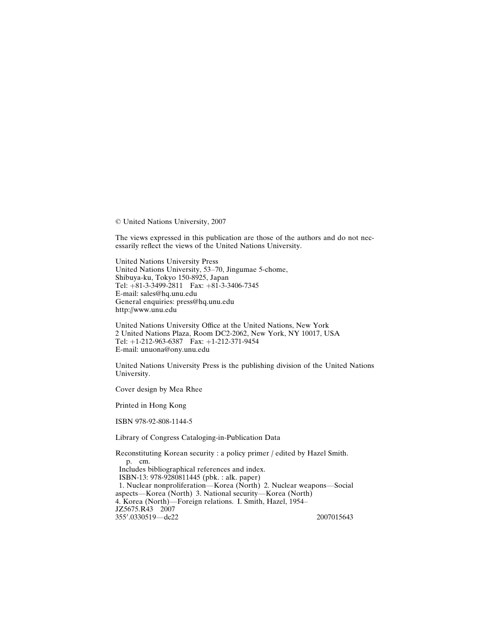*6* United Nations University, 2007

The views expressed in this publication are those of the authors and do not necessarily reflect the views of the United Nations University.

United Nations University Press United Nations University, 53–70, Jingumae 5-chome, Shibuya-ku, Tokyo 150-8925, Japan Tel:  $+81-3-3499-2811$  Fax:  $+81-3-3406-7345$ E-mail: sales@hq.unu.edu General enquiries: press@hq.unu.edu http://www.unu.edu

United Nations University Office at the United Nations, New York 2 United Nations Plaza, Room DC2-2062, New York, NY 10017, USA Tel: +1-212-963-6387 Fax: +1-212-371-9454 E-mail: unuona@ony.unu.edu

United Nations University Press is the publishing division of the United Nations University.

Cover design by Mea Rhee

Printed in Hong Kong

ISBN 978-92-808-1144-5

Library of Congress Cataloging-in-Publication Data

Reconstituting Korean security : a policy primer / edited by Hazel Smith. p. cm. Includes bibliographical references and index. ISBN-13: 978-9280811445 (pbk. : alk. paper) 1. Nuclear nonproliferation—Korea (North) 2. Nuclear weapons—Social aspects—Korea (North) 3. National security—Korea (North) 4. Korea (North)—Foreign relations. I. Smith, Hazel, 1954– JZ5675.R43 2007 355<sup>0</sup> .0330519—dc22 2007015643